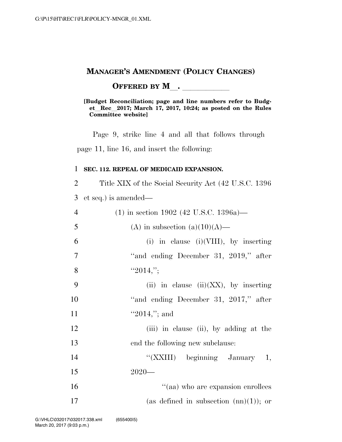### **MANAGER'S AMENDMENT (POLICY CHANGES)**

**OFFERED BY M\_\_\_\_\_\_\_\_\_\_\_\_\_** 

#### **[Budget Reconciliation; page and line numbers refer to Budget**l**Rec**l**2017; March 17, 2017, 10:24; as posted on the Rules Committee website]**

Page 9, strike line 4 and all that follows through page 11, line 16, and insert the following:

### **SEC. 112. REPEAL OF MEDICAID EXPANSION.**

Title XIX of the Social Security Act (42 U.S.C. 1396

et seq.) is amended—

| $\overline{4}$ | $(1)$ in section 1902 (42 U.S.C. 1396a)—  |
|----------------|-------------------------------------------|
| 5              | (A) in subsection (a) $(10)(A)$ —         |
| 6              | (i) in clause (i) (VIII), by inserting    |
| $\overline{7}$ | "and ending December 31, 2019," after     |
| 8              | "2014,";                                  |
| 9              | (ii) in clause (ii) $(XX)$ , by inserting |
| 10             | "and ending December 31, 2017," after     |
| 11             | "2014,"; and                              |
| 12             | (iii) in clause (ii), by adding at the    |
| 13             | end the following new subclause:          |
| 14             | "(XXIII) beginning January 1,             |
| 15             | $2020-$                                   |
| 16             | "(aa) who are expansion enrollees         |
| 17             | (as defined in subsection $(m)(1)$ ); or  |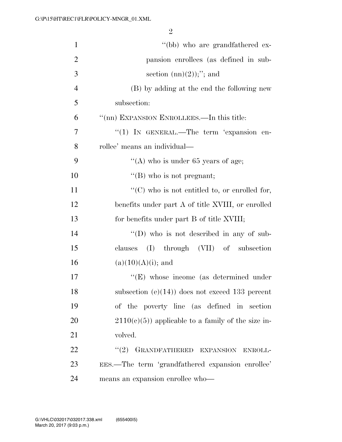| $\mathbf{1}$   | "(bb) who are grandfathered ex-                       |
|----------------|-------------------------------------------------------|
| $\overline{2}$ | pansion enrollees (as defined in sub-                 |
| 3              | section $(nn)(2))$ ;"; and                            |
| $\overline{4}$ | (B) by adding at the end the following new            |
| 5              | subsection:                                           |
| 6              | "(nn) EXPANSION ENROLLEES.—In this title:             |
| 7              | "(1) IN GENERAL.—The term 'expansion en-              |
| 8              | rollee' means an individual-                          |
| 9              | "(A) who is under $65$ years of age;                  |
| 10             | $\lq\lq$ (B) who is not pregnant;                     |
| 11             | $\lq\lq$ (C) who is not entitled to, or enrolled for, |
| 12             | benefits under part A of title XVIII, or enrolled     |
| 13             | for benefits under part B of title XVIII;             |
| 14             | $\lq\lq$ (D) who is not described in any of sub-      |
| 15             | (I) through (VII) of subsection<br>clauses            |
| 16             | $(a)(10)(A)(i)$ ; and                                 |
| 17             | $\lq\lq(E)$ whose income (as determined under         |
| 18             | subsection $(e)(14)$ does not exceed 133 percent      |
| 19             | of the poverty line (as defined in section            |
| 20             | $2110(c)(5)$ applicable to a family of the size in-   |
| 21             | volved.                                               |
| 22             | "(2) GRANDFATHERED EXPANSION ENROLL-                  |
| 23             | EES.—The term 'grandfathered expansion enrollee'      |
| 24             | means an expansion enrollee who-                      |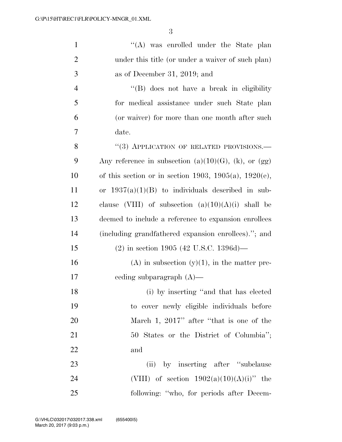| $\mathbf{1}$   | $\lq\lq$ was enrolled under the State plan                   |
|----------------|--------------------------------------------------------------|
| $\overline{2}$ | under this title (or under a waiver of such plan)            |
| 3              | as of December 31, 2019; and                                 |
| $\overline{4}$ | "(B) does not have a break in eligibility                    |
| 5              | for medical assistance under such State plan                 |
| 6              | (or waiver) for more than one month after such               |
| $\overline{7}$ | date.                                                        |
| 8              | "(3) APPLICATION OF RELATED PROVISIONS.-                     |
| 9              | Any reference in subsection $(a)(10)(G)$ , $(k)$ , or $(gg)$ |
| 10             | of this section or in section 1903, 1905(a), 1920(e),        |
| 11             | or $1937(a)(1)(B)$ to individuals described in sub-          |
| 12             | clause (VIII) of subsection $(a)(10)(A)(i)$ shall be         |
| 13             | deemed to include a reference to expansion enrollees         |
| 14             | (including grandfathered expansion enrollees)."; and         |
| 15             | $(2)$ in section 1905 (42 U.S.C. 1396d)—                     |
| 16             | $(A)$ in subsection $(y)(1)$ , in the matter pre-            |
| 17             | eeding subparagraph $(A)$ —                                  |
| 18             | (i) by inserting "and that has elected                       |
| 19             | to cover newly eligible individuals before                   |
| 20             | March 1, 2017" after "that is one of the                     |
| 21             | 50 States or the District of Columbia";                      |
| 22             | and                                                          |
| 23             | (ii) by inserting after "subclause"                          |
| 24             | (VIII) of section $1902(a)(10)(A)(i)$ " the                  |
| 25             | following: "who, for periods after Decem-                    |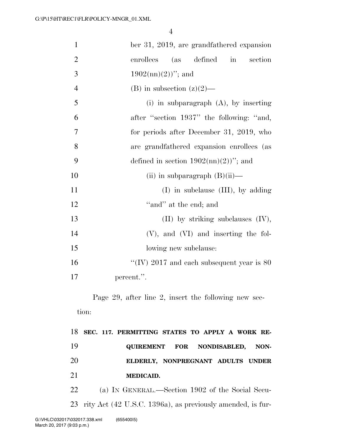| $\mathbf{1}$   | ber 31, 2019, are grandfathered expansion            |
|----------------|------------------------------------------------------|
| $\overline{2}$ | enrollees (as defined in section                     |
| 3              | $1902 \text{(nn)}(2)$ "; and                         |
| $\overline{4}$ | (B) in subsection $(z)(2)$ —                         |
| 5              | (i) in subparagraph $(A)$ , by inserting             |
| 6              | after "section 1937" the following: "and,            |
| 7              | for periods after December 31, 2019, who             |
| 8              | are grandfathered expansion enrollees (as            |
| 9              | defined in section $1902 \text{(nn)}(2)$ "; and      |
| 10             | (ii) in subparagraph $(B)(ii)$ —                     |
| 11             | $(I)$ in subclause $(III)$ , by adding               |
| 12             | "and" at the end; and                                |
| 13             | $(II)$ by striking subclauses $(IV)$ ,               |
| 14             | $(V)$ , and $(VI)$ and inserting the fol-            |
| 15             | lowing new subclause:                                |
| 16             | "(IV) 2017 and each subsequent year is $80\,$        |
| 17             | percent.".                                           |
|                | Page 29, after line 2, insert the following new sec- |
| tion:          |                                                      |
|                | GEC 117 DEDMITTING GRATES TO ADDIV A WODIZ           |

 **SEC. 117. PERMITTING STATES TO APPLY A WORK RE- QUIREMENT FOR NONDISABLED, NON- ELDERLY, NONPREGNANT ADULTS UNDER MEDICAID.** 

22 (a) IN GENERAL.—Section 1902 of the Social Secu-23 rity Act (42 U.S.C. 1396a), as previously amended, is fur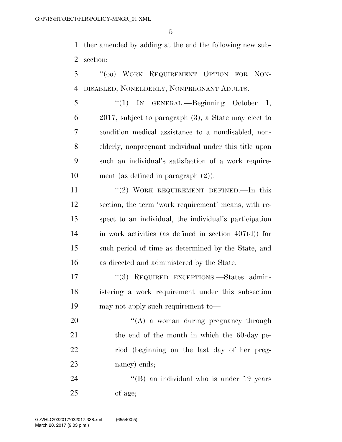ther amended by adding at the end the following new sub-section:

 ''(oo) WORK REQUIREMENT OPTION FOR NON-DISABLED, NONELDERLY, NONPREGNANT ADULTS.—

 ''(1) IN GENERAL.—Beginning October 1, 2017, subject to paragraph (3), a State may elect to condition medical assistance to a nondisabled, non- elderly, nonpregnant individual under this title upon such an individual's satisfaction of a work require-ment (as defined in paragraph (2)).

11 "(2) WORK REQUIREMENT DEFINED. In this section, the term 'work requirement' means, with re- spect to an individual, the individual's participation in work activities (as defined in section 407(d)) for such period of time as determined by the State, and as directed and administered by the State.

17 "(3) REQUIRED EXCEPTIONS.—States admin- istering a work requirement under this subsection may not apply such requirement to—

 ''(A) a woman during pregnancy through 21 the end of the month in which the 60-day pe- riod (beginning on the last day of her preg-nancy) ends;

24 "(B) an individual who is under 19 years of age;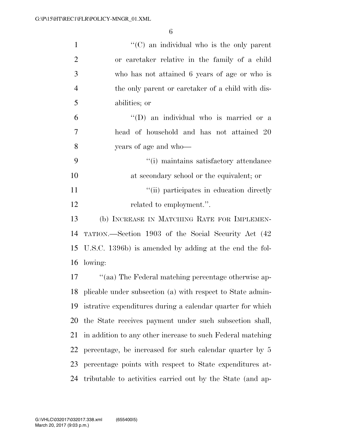| $\mathbf{1}$   | $\lq\lq$ (C) an individual who is the only parent             |
|----------------|---------------------------------------------------------------|
| $\overline{2}$ | or caretaker relative in the family of a child                |
| 3              | who has not attained 6 years of age or who is                 |
| $\overline{4}$ | the only parent or caretaker of a child with dis-             |
| 5              | abilities; or                                                 |
| 6              | "(D) an individual who is married or a                        |
| 7              | head of household and has not attained 20                     |
| 8              | years of age and who—                                         |
| 9              | "(i) maintains satisfactory attendance                        |
| 10             | at secondary school or the equivalent; or                     |
| 11             | "(ii) participates in education directly                      |
| 12             | related to employment.".                                      |
| 13             | (b) INCREASE IN MATCHING RATE FOR IMPLEMEN-                   |
| 14             | TATION.—Section 1903 of the Social Security Act (42)          |
| 15             | U.S.C. 1396b) is amended by adding at the end the fol-        |
| 16             | lowing:                                                       |
| 17             | "(aa) The Federal matching percentage otherwise ap-           |
|                | 18 plicable under subsection (a) with respect to State admin- |
| 19             | istrative expenditures during a calendar quarter for which    |
| 20             | the State receives payment under such subsection shall,       |
| 21             | in addition to any other increase to such Federal matching    |
| 22             | percentage, be increased for such calendar quarter by 5       |
| 23             | percentage points with respect to State expenditures at-      |
| 24             | tributable to activities carried out by the State (and ap-    |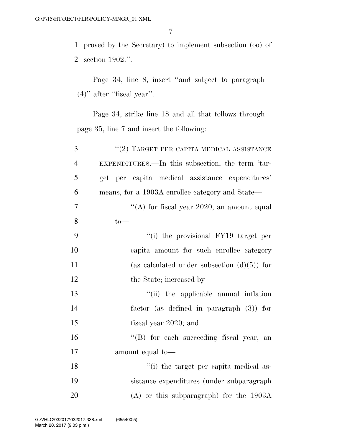proved by the Secretary) to implement subsection (oo) of section 1902.''.

Page 34, line 8, insert ''and subject to paragraph (4)'' after ''fiscal year''.

Page 34, strike line 18 and all that follows through page 35, line 7 and insert the following:

| 3              | $``(2)$ TARGET PER CAPITA MEDICAL ASSISTANCE       |
|----------------|----------------------------------------------------|
| $\overline{4}$ | EXPENDITURES.—In this subsection, the term 'tar-   |
| 5              | per capita medical assistance expenditures'<br>get |
| 6              | means, for a 1903A enrollee category and State—    |
| 7              | "(A) for fiscal year $2020$ , an amount equal      |
| 8              | $to-$                                              |
| 9              | "(i) the provisional FY19 target per               |
| 10             | capita amount for such enrollee category           |
| 11             | (as calculated under subsection $(d)(5)$ ) for     |
| 12             | the State; increased by                            |
| 13             | "(ii) the applicable annual inflation              |
| 14             | factor (as defined in paragraph $(3)$ ) for        |
| 15             | fiscal year 2020; and                              |
| 16             | "(B) for each succeeding fiscal year, an           |
| 17             | amount equal to-                                   |
| 18             | "(i) the target per capita medical as-             |
| 19             | sistance expenditures (under subparagraph)         |
| 20             | $(A)$ or this subparagraph) for the 1903A          |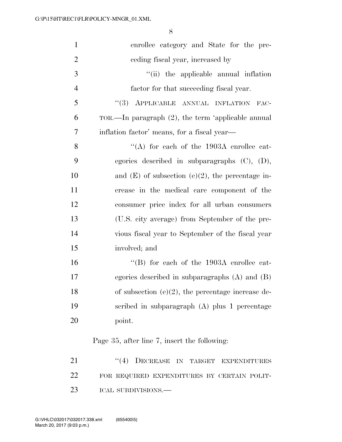| $\mathbf{1}$   | enrollee category and State for the pre-              |
|----------------|-------------------------------------------------------|
| $\overline{2}$ | eeding fiscal year, increased by                      |
| 3              | "(ii) the applicable annual inflation                 |
| $\overline{4}$ | factor for that succeeding fiscal year.               |
| 5              | "(3) APPLICABLE ANNUAL INFLATION FAC-                 |
| 6              | TOR.—In paragraph $(2)$ , the term 'applicable annual |
| 7              | inflation factor' means, for a fiscal year—           |
| 8              | "(A) for each of the $1903A$ enrollee cat-            |
| 9              | egories described in subparagraphs $(C)$ , $(D)$ ,    |
| 10             | and $(E)$ of subsection $(e)(2)$ , the percentage in- |
| 11             | crease in the medical care component of the           |
| 12             | consumer price index for all urban consumers          |
| 13             | (U.S. city average) from September of the pre-        |
| 14             | vious fiscal year to September of the fiscal year     |
| 15             | involved; and                                         |
| 16             | "(B) for each of the $1903A$ enrollee cat-            |
| 17             | egories described in subparagraphs $(A)$ and $(B)$    |
| 18             | of subsection $(e)(2)$ , the percentage increase de-  |
| 19             | scribed in subparagraph (A) plus 1 percentage         |
| 20             | point.                                                |
|                | Page 35, after line 7, insert the following:          |
| 21             | "(4) DECREASE IN TARGET EXPENDITURES                  |
| 22             | FOR REQUIRED EXPENDITURES BY CERTAIN POLIT-           |
| 23             | ICAL SUBDIVISIONS.-                                   |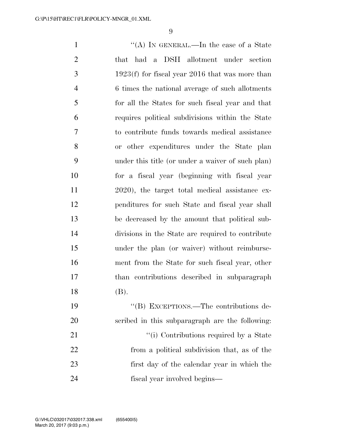$\frac{1}{(A)}$  In GENERAL.—In the case of a State that had a DSH allotment under section 1923(f) for fiscal year 2016 that was more than 6 times the national average of such allotments for all the States for such fiscal year and that requires political subdivisions within the State to contribute funds towards medical assistance or other expenditures under the State plan under this title (or under a waiver of such plan) for a fiscal year (beginning with fiscal year 2020), the target total medical assistance ex- penditures for such State and fiscal year shall be decreased by the amount that political sub- divisions in the State are required to contribute under the plan (or waiver) without reimburse- ment from the State for such fiscal year, other than contributions described in subparagraph (B). ''(B) EXCEPTIONS.—The contributions de- scribed in this subparagraph are the following: 21 ''(i) Contributions required by a State from a political subdivision that, as of the first day of the calendar year in which the

fiscal year involved begins—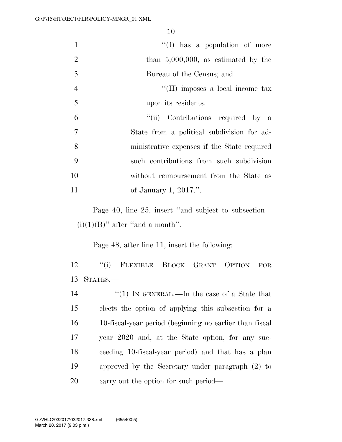|                | $\lq\lq$ (I) has a population of more       |
|----------------|---------------------------------------------|
| 2              | than $5,000,000$ , as estimated by the      |
| 3              | Bureau of the Census; and                   |
| $\overline{4}$ | $\lq\lq$ (II) imposes a local income tax    |
| 5              | upon its residents.                         |
| 6              | "(ii) Contributions required by a           |
| $\overline{7}$ | State from a political subdivision for ad-  |
| 8              | ministrative expenses if the State required |
| 9              | such contributions from such subdivision    |
| 10             | without reimbursement from the State as     |
| 11             | of January 1, 2017.".                       |

Page 40, line 25, insert ''and subject to subsection  $(i)(1)(B)$ " after "and a month".

Page 48, after line 11, insert the following:

 ''(i) FLEXIBLE BLOCK GRANT OPTION FOR STATES.—

14 ''(1) IN GENERAL.—In the case of a State that elects the option of applying this subsection for a 10-fiscal-year period (beginning no earlier than fiscal year 2020 and, at the State option, for any suc- ceeding 10-fiscal-year period) and that has a plan approved by the Secretary under paragraph (2) to carry out the option for such period—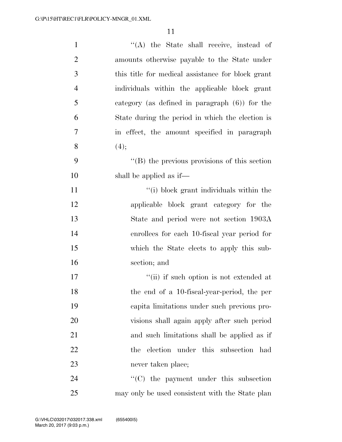| $\mathbf{1}$   | "(A) the State shall receive, instead of             |
|----------------|------------------------------------------------------|
| $\overline{2}$ | amounts otherwise payable to the State under         |
| 3              | this title for medical assistance for block grant    |
| $\overline{4}$ | individuals within the applicable block grant        |
| 5              | category (as defined in paragraph $(6)$ ) for the    |
| 6              | State during the period in which the election is     |
| 7              | in effect, the amount specified in paragraph         |
| 8              | (4);                                                 |
| 9              | $\lq\lq$ (B) the previous provisions of this section |
| 10             | shall be applied as if—                              |
| 11             | "(i) block grant individuals within the              |
| 12             | applicable block grant category for the              |
| 13             | State and period were not section 1903A              |
| 14             | enrollees for each 10-fiscal year period for         |
| 15             | which the State elects to apply this sub-            |
| 16             | section; and                                         |
| 17             | "(ii) if such option is not extended at              |
| 18             | the end of a 10-fiscal-year-period, the per          |
| 19             | capita limitations under such previous pro-          |
| 20             | visions shall again apply after such period          |
| 21             | and such limitations shall be applied as if          |
| 22             | the election under this subsection had               |
| 23             | never taken place;                                   |
| 24             | $\cdot$ (C) the payment under this subsection        |
| 25             | may only be used consistent with the State plan      |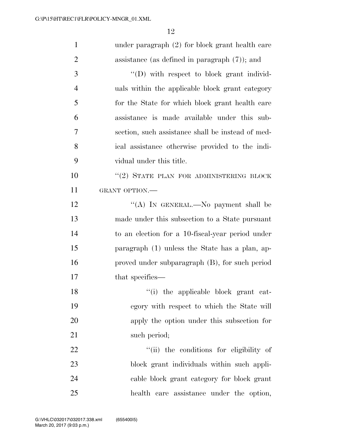| $\mathbf{1}$   | under paragraph $(2)$ for block grant health care |
|----------------|---------------------------------------------------|
| $\overline{2}$ | assistance (as defined in paragraph $(7)$ ); and  |
| 3              | $\lq\lq$ with respect to block grant individ-     |
| $\overline{4}$ | uals within the applicable block grant category   |
| 5              | for the State for which block grant health care   |
| 6              | assistance is made available under this sub-      |
| 7              | section, such assistance shall be instead of med- |
| 8              | ical assistance otherwise provided to the indi-   |
| 9              | vidual under this title.                          |
| 10             | "(2) STATE PLAN FOR ADMINISTERING BLOCK           |
| 11             | GRANT OPTION.-                                    |
| 12             | "(A) IN GENERAL.—No payment shall be              |
| 13             | made under this subsection to a State pursuant    |
| 14             | to an election for a 10-fiscal-year period under  |
| 15             | paragraph (1) unless the State has a plan, ap-    |
| 16             | proved under subparagraph (B), for such period    |
| 17             | that specifies—                                   |
| 18             | "(i) the applicable block grant cat-              |
| 19             | egory with respect to which the State will        |
| 20             | apply the option under this subsection for        |
| 21             | such period;                                      |
| 22             | "(ii) the conditions for eligibility of           |
| 23             | block grant individuals within such appli-        |
| 24             | cable block grant category for block grant        |
| 25             | health care assistance under the option,          |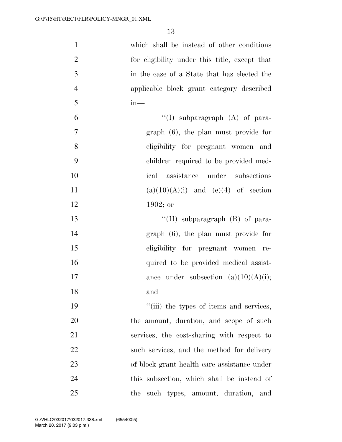| $\mathbf{1}$   | which shall be instead of other conditions    |
|----------------|-----------------------------------------------|
| $\overline{2}$ | for eligibility under this title, except that |
| 3              | in the case of a State that has elected the   |
| $\overline{4}$ | applicable block grant category described     |
| 5              | $in-$                                         |
| 6              | "(I) subparagraph $(A)$ of para-              |
| $\tau$         | $graph(6)$ , the plan must provide for        |
| 8              | eligibility for pregnant women and            |
| 9              | children required to be provided med-         |
| 10             | ical assistance under subsections             |
| 11             | $(a)(10)(A)(i)$ and $(e)(4)$ of section       |
| 12             | $1902;$ or                                    |
| 13             | "(II) subparagraph $(B)$ of para-             |
| 14             | $graph(6)$ , the plan must provide for        |
| 15             | eligibility for pregnant women re-            |
| 16             | quired to be provided medical assist-         |
| 17             | ance under subsection $(a)(10)(A)(i);$        |
| 18             | and                                           |
| 19             | "(iii) the types of items and services,       |
| 20             | the amount, duration, and scope of such       |
| 21             | services, the cost-sharing with respect to    |
| 22             | such services, and the method for delivery    |
| 23             | of block grant health care assistance under   |
| 24             | this subsection, which shall be instead of    |
| 25             | such types, amount, duration, and<br>the      |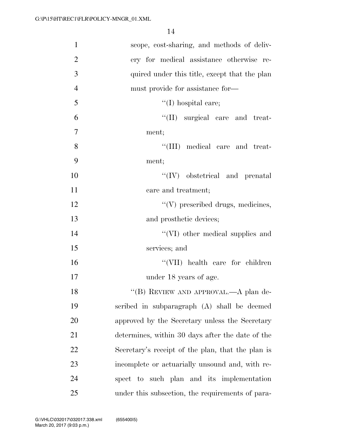| $\mathbf{1}$   | scope, cost-sharing, and methods of deliv-        |
|----------------|---------------------------------------------------|
| $\overline{2}$ | ery for medical assistance otherwise re-          |
| 3              | quired under this title, except that the plan     |
| $\overline{4}$ | must provide for assistance for—                  |
| 5              | $\lq(1)$ hospital care;                           |
| 6              | "(II) surgical care and treat-                    |
| $\overline{7}$ | ment;                                             |
| 8              | "(III) medical care and treat-                    |
| 9              | ment;                                             |
| 10             | $\lq\lq (IV)$ obstetrical and prenatal            |
| 11             | care and treatment;                               |
| 12             | $\lq\lq(V)$ prescribed drugs, medicines,          |
| 13             | and prosthetic devices;                           |
| 14             | "(VI) other medical supplies and                  |
| 15             | services; and                                     |
| 16             | "(VII) health care for children                   |
| 17             | under 18 years of age.                            |
| 18             | "(B) REVIEW AND APPROVAL.—A plan de-              |
| 19             | scribed in subparagraph (A) shall be deemed       |
| 20             | approved by the Secretary unless the Secretary    |
| 21             | determines, within 30 days after the date of the  |
| 22             | Secretary's receipt of the plan, that the plan is |
| 23             | incomplete or actuarially unsound and, with re-   |
| 24             | spect to such plan and its implementation         |
| 25             | under this subsection, the requirements of para-  |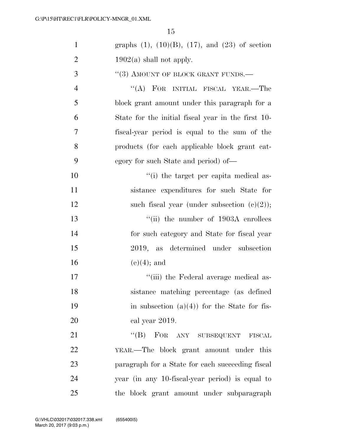| $\mathbf{1}$   | graphs $(1)$ , $(10)(B)$ , $(17)$ , and $(23)$ of section |
|----------------|-----------------------------------------------------------|
| $\overline{2}$ | $1902(a)$ shall not apply.                                |
| 3              | $``(3)$ AMOUNT OF BLOCK GRANT FUNDS.—                     |
| $\overline{4}$ | "(A) FOR INITIAL FISCAL YEAR.—The                         |
| 5              | block grant amount under this paragraph for a             |
| 6              | State for the initial fiscal year in the first 10-        |
| 7              | fiscal-year period is equal to the sum of the             |
| 8              | products (for each applicable block grant cat-            |
| 9              | egory for such State and period) of—                      |
| 10             | "(i) the target per capita medical as-                    |
| 11             | sistance expenditures for such State for                  |
| 12             | such fiscal year (under subsection $(e)(2)$ );            |
| 13             | "(ii) the number of $1903A$ enrollees                     |
| 14             | for such category and State for fiscal year               |
| 15             | 2019, as determined under subsection                      |
| 16             | $(e)(4)$ ; and                                            |
| 17             | "(iii) the Federal average medical as-                    |
| 18             | sistance matching percentage (as defined                  |
| 19             | in subsection $(a)(4)$ for the State for fis-             |
| 20             | cal year 2019.                                            |
| 21             | "(B) FOR ANY SUBSEQUENT<br><b>FISCAL</b>                  |
| 22             | YEAR.—The block grant amount under this                   |
| 23             | paragraph for a State for each succeeding fiscal          |
| 24             | year (in any 10-fiscal-year period) is equal to           |
| 25             | the block grant amount under subparagraph                 |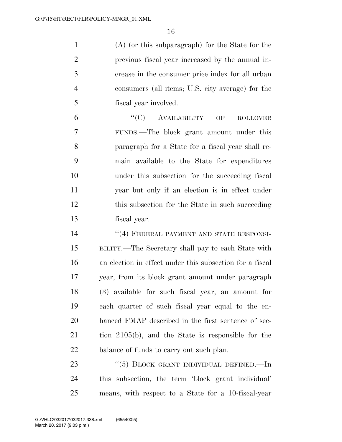(A) (or this subparagraph) for the State for the previous fiscal year increased by the annual in- crease in the consumer price index for all urban consumers (all items; U.S. city average) for the fiscal year involved.

 ''(C) AVAILABILITY OF ROLLOVER FUNDS.—The block grant amount under this paragraph for a State for a fiscal year shall re- main available to the State for expenditures under this subsection for the succeeding fiscal year but only if an election is in effect under 12 this subsection for the State in such succeeding fiscal year.

14 ''(4) FEDERAL PAYMENT AND STATE RESPONSI- BILITY.—The Secretary shall pay to each State with an election in effect under this subsection for a fiscal year, from its block grant amount under paragraph (3) available for such fiscal year, an amount for each quarter of such fiscal year equal to the en- hanced FMAP described in the first sentence of sec- tion 2105(b), and the State is responsible for the 22 balance of funds to carry out such plan.

23 "(5) BLOCK GRANT INDIVIDUAL DEFINED.—In this subsection, the term 'block grant individual' means, with respect to a State for a 10-fiscal-year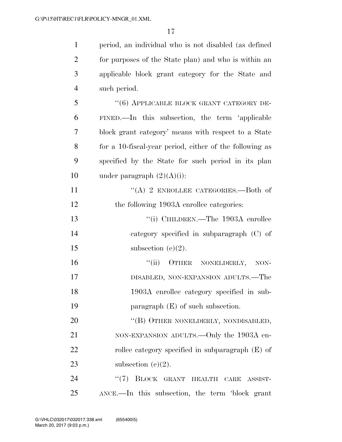period, an individual who is not disabled (as defined for purposes of the State plan) and who is within an applicable block grant category for the State and such period. 5 "(6) APPLICABLE BLOCK GRANT CATEGORY DE- FINED.—In this subsection, the term 'applicable block grant category' means with respect to a State for a 10-fiscal-year period, either of the following as specified by the State for such period in its plan 10 under paragraph  $(2)(A)(i)$ : 11 "(A) 2 ENROLLEE CATEGORIES. Both of 12 the following 1903A enrollee categories: 13 "(i) CHILDREN.—The 1903A enrollee category specified in subparagraph (C) of 15 subsection  $(e)(2)$ . ''(ii) OTHER NONELDERLY, NON-

17 DISABLED, NON-EXPANSION ADULTS.—The 18 1903A enrollee category specified in sub-19 paragraph (E) of such subsection.

20 "(B) OTHER NONELDERLY, NONDISABLED, 21 NON-EXPANSION ADULTS.—Only the 1903A en-22 rollee category specified in subparagraph (E) of 23 subsection  $(e)(2)$ .

24 "(7) BLOCK GRANT HEALTH CARE ASSIST-25 ANCE.—In this subsection, the term 'block grant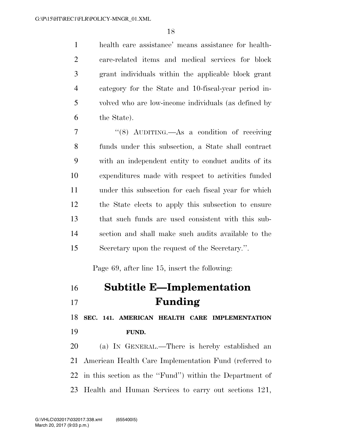health care assistance' means assistance for health- care-related items and medical services for block grant individuals within the applicable block grant category for the State and 10-fiscal-year period in- volved who are low-income individuals (as defined by the State).

 ''(8) AUDITING.—As a condition of receiving funds under this subsection, a State shall contract with an independent entity to conduct audits of its expenditures made with respect to activities funded under this subsection for each fiscal year for which the State elects to apply this subsection to ensure that such funds are used consistent with this sub- section and shall make such audits available to the Secretary upon the request of the Secretary.''.

Page 69, after line 15, insert the following:

| 16 | <b>Subtitle E-Implementation</b> |
|----|----------------------------------|
| 17 | Funding                          |

 **SEC. 141. AMERICAN HEALTH CARE IMPLEMENTATION FUND.** 

 (a) IN GENERAL.—There is hereby established an American Health Care Implementation Fund (referred to in this section as the ''Fund'') within the Department of Health and Human Services to carry out sections 121,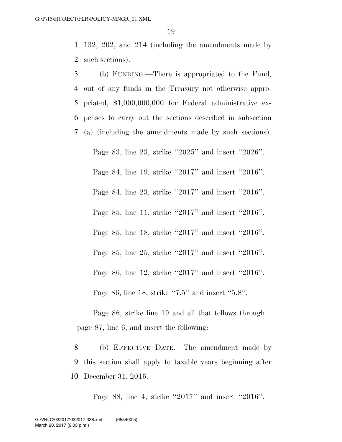1 132, 202, and 214 (including the amendments made by 2 such sections).

 (b) FUNDING.—There is appropriated to the Fund, out of any funds in the Treasury not otherwise appro- priated, \$1,000,000,000 for Federal administrative ex- penses to carry out the sections described in subsection (a) (including the amendments made by such sections).

Page 83, line 23, strike ''2025'' and insert ''2026''. Page 84, line 19, strike ''2017'' and insert ''2016''. Page 84, line 23, strike ''2017'' and insert ''2016''. Page 85, line 11, strike ''2017'' and insert ''2016''. Page 85, line 18, strike ''2017'' and insert ''2016''. Page 85, line 25, strike ''2017'' and insert ''2016''. Page 86, line 12, strike ''2017'' and insert ''2016''. Page 86, line 18, strike ''7.5'' and insert ''5.8''.

Page 86, strike line 19 and all that follows through page 87, line 6, and insert the following:

8 (b) EFFECTIVE DATE.—The amendment made by 9 this section shall apply to taxable years beginning after 10 December 31, 2016.

Page 88, line 4, strike ''2017'' and insert ''2016''.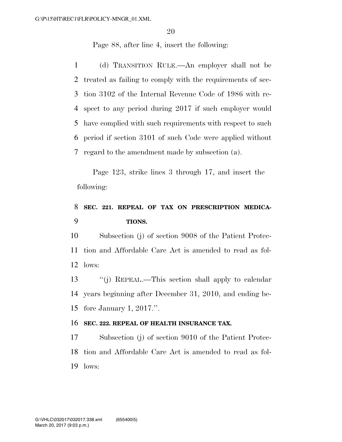Page 88, after line 4, insert the following:

 (d) TRANSITION RULE.—An employer shall not be treated as failing to comply with the requirements of sec- tion 3102 of the Internal Revenue Code of 1986 with re- spect to any period during 2017 if such employer would have complied with such requirements with respect to such period if section 3101 of such Code were applied without regard to the amendment made by subsection (a).

Page 123, strike lines 3 through 17, and insert the following:

## **SEC. 221. REPEAL OF TAX ON PRESCRIPTION MEDICA-TIONS.**

 Subsection (j) of section 9008 of the Patient Protec- tion and Affordable Care Act is amended to read as fol-lows:

 ''(j) REPEAL.—This section shall apply to calendar years beginning after December 31, 2010, and ending be-fore January 1, 2017.''.

### **SEC. 222. REPEAL OF HEALTH INSURANCE TAX.**

 Subsection (j) of section 9010 of the Patient Protec- tion and Affordable Care Act is amended to read as fol-lows: